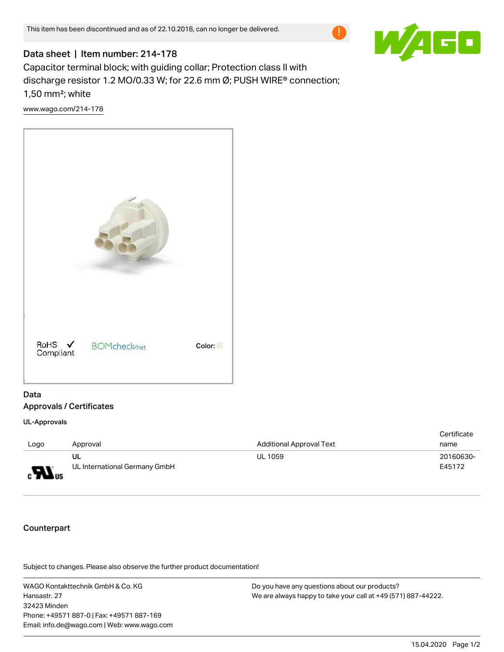

## Data sheet | Item number: 214-178

Capacitor terminal block; with guiding collar; Protection class II with discharge resistor 1.2 MO/0.33 W; for 22.6 mm Ø; PUSH WIRE® connection; 1,50 mm²; white

[www.wago.com/214-178](http://www.wago.com/214-178)



## Data Approvals / Certificates

UL-Approvals

| Logo                       | Approval                            | <b>Additional Approval Text</b> | Certificate<br>name |
|----------------------------|-------------------------------------|---------------------------------|---------------------|
| $\mathbf{M}$ <sub>us</sub> | UL<br>UL International Germany GmbH | UL 1059                         | 20160630-<br>E45172 |

## Counterpart

.<br>Subject to changes. Please also observe the further product documentation!

WAGO Kontakttechnik GmbH & Co. KG Hansastr. 27 32423 Minden Phone: +49571 887-0 | Fax: +49571 887-169 Email: info.de@wago.com | Web: www.wago.com

Do you have any questions about our products? We are always happy to take your call at +49 (571) 887-44222.